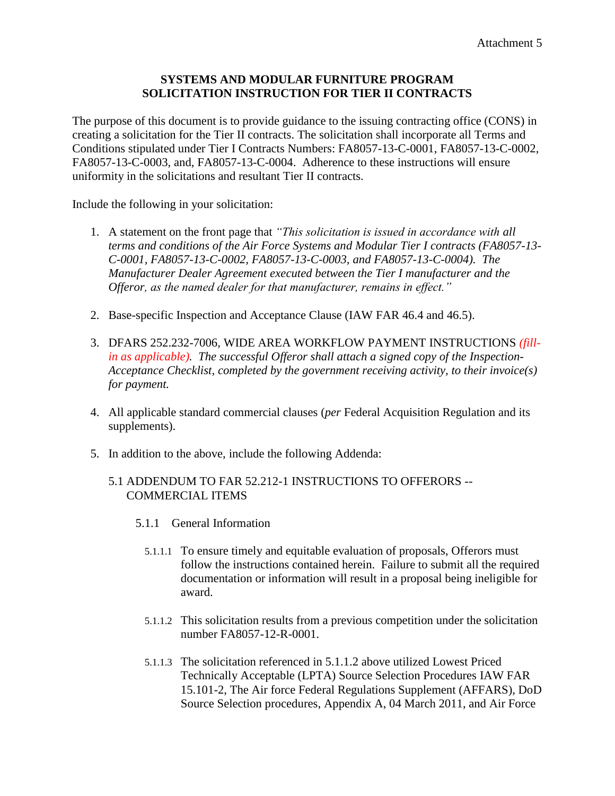# **SYSTEMS AND MODULAR FURNITURE PROGRAM SOLICITATION INSTRUCTION FOR TIER II CONTRACTS**

The purpose of this document is to provide guidance to the issuing contracting office (CONS) in creating a solicitation for the Tier II contracts. The solicitation shall incorporate all Terms and Conditions stipulated under Tier I Contracts Numbers: FA8057-13-C-0001, FA8057-13-C-0002, FA8057-13-C-0003, and, FA8057-13-C-0004. Adherence to these instructions will ensure uniformity in the solicitations and resultant Tier II contracts.

Include the following in your solicitation:

- 1. A statement on the front page that *"This solicitation is issued in accordance with all terms and conditions of the Air Force Systems and Modular Tier I contracts (FA8057-13- C-0001, FA8057-13-C-0002, FA8057-13-C-0003, and FA8057-13-C-0004). The Manufacturer Dealer Agreement executed between the Tier I manufacturer and the Offeror, as the named dealer for that manufacturer, remains in effect."*
- 2. Base-specific Inspection and Acceptance Clause (IAW FAR 46.4 and 46.5).
- 3. DFARS 252.232-7006, WIDE AREA WORKFLOW PAYMENT INSTRUCTIONS *(fillin as applicable). The successful Offeror shall attach a signed copy of the Inspection-Acceptance Checklist, completed by the government receiving activity, to their invoice(s) for payment.*
- 4. All applicable standard commercial clauses (*per* Federal Acquisition Regulation and its supplements).
- 5. In addition to the above, include the following Addenda:

## 5.1 ADDENDUM TO FAR 52.212-1 INSTRUCTIONS TO OFFERORS -- COMMERCIAL ITEMS

- 5.1.1 General Information
	- 5.1.1.1 To ensure timely and equitable evaluation of proposals, Offerors must follow the instructions contained herein. Failure to submit all the required documentation or information will result in a proposal being ineligible for award.
	- 5.1.1.2 This solicitation results from a previous competition under the solicitation number FA8057-12-R-0001.
	- 5.1.1.3 The solicitation referenced in 5.1.1.2 above utilized Lowest Priced Technically Acceptable (LPTA) Source Selection Procedures IAW FAR 15.101-2, The Air force Federal Regulations Supplement (AFFARS), DoD Source Selection procedures, Appendix A, 04 March 2011, and Air Force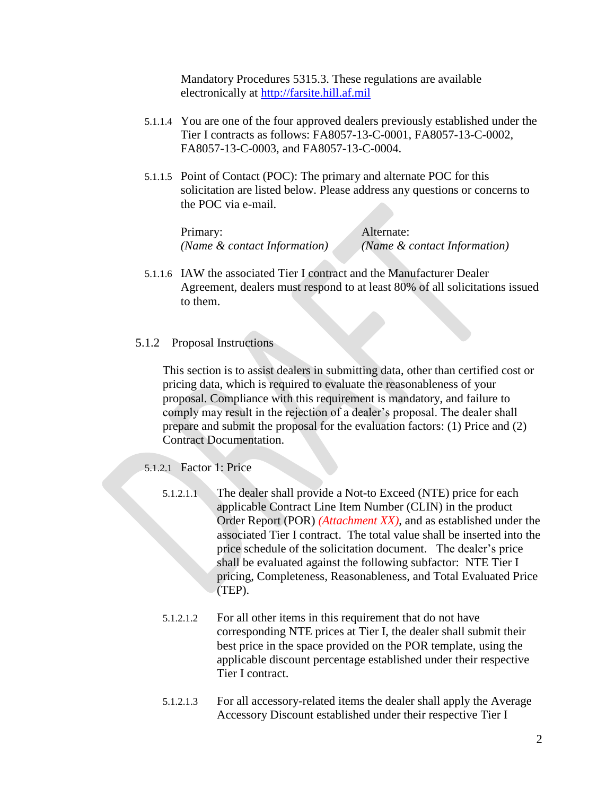Mandatory Procedures 5315.3. These regulations are available electronically at [http://farsite.hill.af.mil](http://farsite.hill.af.mil/)

- 5.1.1.4 You are one of the four approved dealers previously established under the Tier I contracts as follows: FA8057-13-C-0001, FA8057-13-C-0002, FA8057-13-C-0003, and FA8057-13-C-0004.
- 5.1.1.5 Point of Contact (POC): The primary and alternate POC for this solicitation are listed below. Please address any questions or concerns to the POC via e-mail.

Primary: Alternate: *(Name & contact Information) (Name & contact Information)*

5.1.1.6 IAW the associated Tier I contract and the Manufacturer Dealer Agreement, dealers must respond to at least 80% of all solicitations issued to them.

#### 5.1.2 Proposal Instructions

This section is to assist dealers in submitting data, other than certified cost or pricing data, which is required to evaluate the reasonableness of your proposal. Compliance with this requirement is mandatory, and failure to comply may result in the rejection of a dealer's proposal. The dealer shall prepare and submit the proposal for the evaluation factors: (1) Price and (2) Contract Documentation.

5.1.2.1 Factor 1: Price

- 5.1.2.1.1 The dealer shall provide a Not-to Exceed (NTE) price for each applicable Contract Line Item Number (CLIN) in the product Order Report (POR) *(Attachment XX)*, and as established under the associated Tier I contract. The total value shall be inserted into the price schedule of the solicitation document. The dealer's price shall be evaluated against the following subfactor: NTE Tier I pricing, Completeness, Reasonableness, and Total Evaluated Price (TEP).
- 5.1.2.1.2 For all other items in this requirement that do not have corresponding NTE prices at Tier I, the dealer shall submit their best price in the space provided on the POR template, using the applicable discount percentage established under their respective Tier I contract.
- 5.1.2.1.3 For all accessory-related items the dealer shall apply the Average Accessory Discount established under their respective Tier I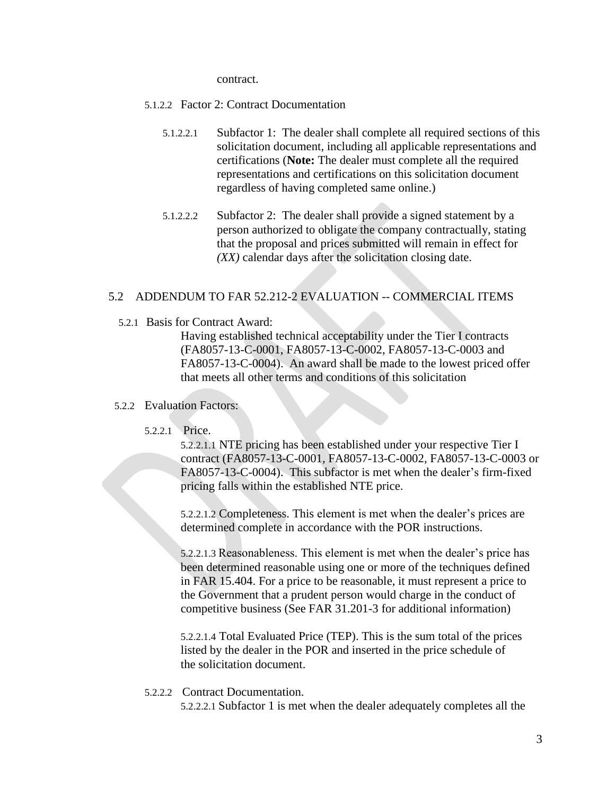contract.

- 5.1.2.2 Factor 2: Contract Documentation
	- 5.1.2.2.1 Subfactor 1: The dealer shall complete all required sections of this solicitation document, including all applicable representations and certifications (**Note:** The dealer must complete all the required representations and certifications on this solicitation document regardless of having completed same online.)
	- 5.1.2.2.2 Subfactor 2: The dealer shall provide a signed statement by a person authorized to obligate the company contractually, stating that the proposal and prices submitted will remain in effect for *(XX)* calendar days after the solicitation closing date.

## 5.2 ADDENDUM TO FAR 52.212-2 EVALUATION -- COMMERCIAL ITEMS

5.2.1 Basis for Contract Award:

Having established technical acceptability under the Tier I contracts (FA8057-13-C-0001, FA8057-13-C-0002, FA8057-13-C-0003 and FA8057-13-C-0004). An award shall be made to the lowest priced offer that meets all other terms and conditions of this solicitation

### 5.2.2 Evaluation Factors:

### 5.2.2.1 Price.

5.2.2.1.1 NTE pricing has been established under your respective Tier I contract (FA8057-13-C-0001, FA8057-13-C-0002, FA8057-13-C-0003 or FA8057-13-C-0004). This subfactor is met when the dealer's firm-fixed pricing falls within the established NTE price.

5.2.2.1.2 Completeness. This element is met when the dealer's prices are determined complete in accordance with the POR instructions.

5.2.2.1.3 Reasonableness. This element is met when the dealer's price has been determined reasonable using one or more of the techniques defined in FAR 15.404. For a price to be reasonable, it must represent a price to the Government that a prudent person would charge in the conduct of competitive business (See FAR 31.201-3 for additional information)

5.2.2.1.4 Total Evaluated Price (TEP). This is the sum total of the prices listed by the dealer in the POR and inserted in the price schedule of the solicitation document.

5.2.2.2 Contract Documentation.

5.2.2.2.1 Subfactor 1 is met when the dealer adequately completes all the